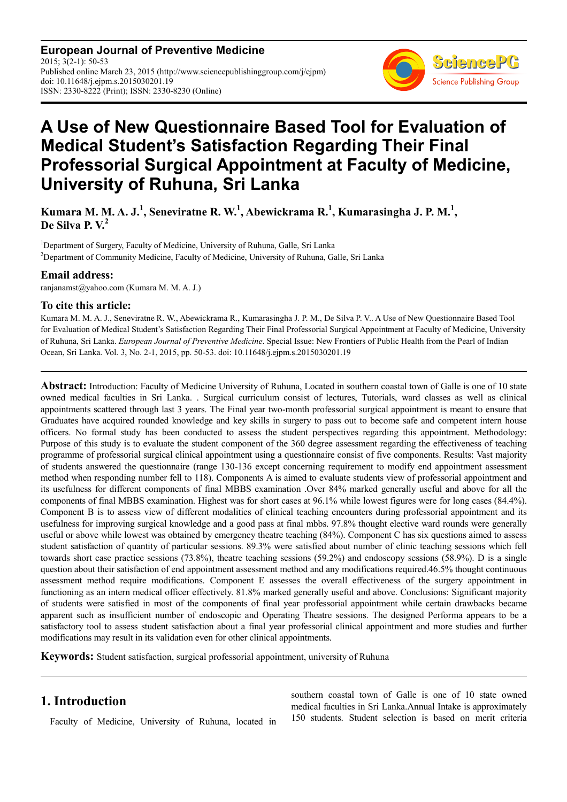**European Journal of Preventive Medicine** 2015; 3(2-1): 50-53 Published online March 23, 2015 (http://www.sciencepublishinggroup.com/j/ejpm) doi: 10.11648/j.ejpm.s.2015030201.19 ISSN: 2330-8222 (Print); ISSN: 2330-8230 (Online)



# **A Use of New Questionnaire Based Tool for Evaluation of Medical Student's Satisfaction Regarding Their Final Professorial Surgical Appointment at Faculty of Medicine, University of Ruhuna, Sri Lanka**

**Kumara M. M. A. J.<sup>1</sup> , Seneviratne R. W.<sup>1</sup> , Abewickrama R.<sup>1</sup> , Kumarasingha J. P. M.<sup>1</sup> , De Silva P. V.<sup>2</sup>**

<sup>1</sup>Department of Surgery, Faculty of Medicine, University of Ruhuna, Galle, Sri Lanka <sup>2</sup>Department of Community Medicine, Faculty of Medicine, University of Ruhuna, Galle, Sri Lanka

#### **Email address:**

ranjanamst@yahoo.com (Kumara M. M. A. J.)

#### **To cite this article:**

Kumara M. M. A. J., Seneviratne R. W., Abewickrama R., Kumarasingha J. P. M., De Silva P. V.. A Use of New Questionnaire Based Tool for Evaluation of Medical Student's Satisfaction Regarding Their Final Professorial Surgical Appointment at Faculty of Medicine, University of Ruhuna, Sri Lanka. *European Journal of Preventive Medicine*. Special Issue: New Frontiers of Public Health from the Pearl of Indian Ocean, Sri Lanka. Vol. 3, No. 2-1, 2015, pp. 50-53. doi: 10.11648/j.ejpm.s.2015030201.19

**Abstract:** Introduction: Faculty of Medicine University of Ruhuna, Located in southern coastal town of Galle is one of 10 state owned medical faculties in Sri Lanka. . Surgical curriculum consist of lectures, Tutorials, ward classes as well as clinical appointments scattered through last 3 years. The Final year two-month professorial surgical appointment is meant to ensure that Graduates have acquired rounded knowledge and key skills in surgery to pass out to become safe and competent intern house officers. No formal study has been conducted to assess the student perspectives regarding this appointment. Methodology: Purpose of this study is to evaluate the student component of the 360 degree assessment regarding the effectiveness of teaching programme of professorial surgical clinical appointment using a questionnaire consist of five components. Results: Vast majority of students answered the questionnaire (range 130-136 except concerning requirement to modify end appointment assessment method when responding number fell to 118). Components A is aimed to evaluate students view of professorial appointment and its usefulness for different components of final MBBS examination .Over 84% marked generally useful and above for all the components of final MBBS examination. Highest was for short cases at 96.1% while lowest figures were for long cases (84.4%). Component B is to assess view of different modalities of clinical teaching encounters during professorial appointment and its usefulness for improving surgical knowledge and a good pass at final mbbs. 97.8% thought elective ward rounds were generally useful or above while lowest was obtained by emergency theatre teaching (84%). Component C has six questions aimed to assess student satisfaction of quantity of particular sessions. 89.3% were satisfied about number of clinic teaching sessions which fell towards short case practice sessions (73.8%), theatre teaching sessions (59.2%) and endoscopy sessions (58.9%). D is a single question about their satisfaction of end appointment assessment method and any modifications required.46.5% thought continuous assessment method require modifications. Component E assesses the overall effectiveness of the surgery appointment in functioning as an intern medical officer effectively. 81.8% marked generally useful and above. Conclusions: Significant majority of students were satisfied in most of the components of final year professorial appointment while certain drawbacks became apparent such as insufficient number of endoscopic and Operating Theatre sessions. The designed Performa appears to be a satisfactory tool to assess student satisfaction about a final year professorial clinical appointment and more studies and further modifications may result in its validation even for other clinical appointments.

**Keywords:** Student satisfaction, surgical professorial appointment, university of Ruhuna

## **1. Introduction**

Faculty of Medicine, University of Ruhuna, located in

southern coastal town of Galle is one of 10 state owned medical faculties in Sri Lanka.Annual Intake is approximately 150 students. Student selection is based on merit criteria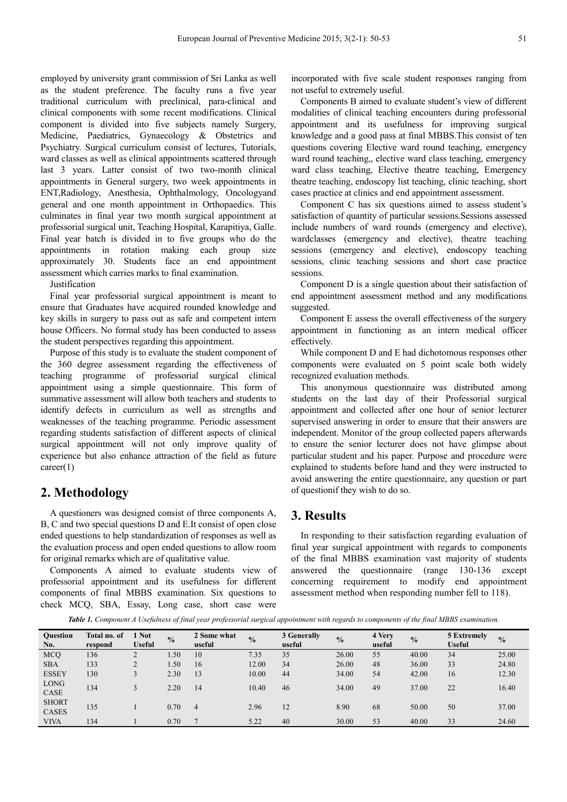employed by university grant commission of Sri Lanka as well as the student preference. The faculty runs a five year traditional curriculum with preclinical, para-clinical and clinical components with some recent modifications. Clinical component is divided into five subjects namely Surgery, Medicine, Paediatrics, Gynaecology & Obstetrics and Psychiatry. Surgical curriculum consist of lectures, Tutorials, ward classes as well as clinical appointments scattered through last 3 years. Latter consist of two two-month clinical appointments in General surgery, two week appointments in ENT,Radiology, Anesthesia, Ophthalmology, Oncologyand general and one month appointment in Orthopaedics. This culminates in final year two month surgical appointment at professorial surgical unit, Teaching Hospital, Karapitiya, Galle. Final year batch is divided in to five groups who do the appointments in rotation making each group size approximately 30. Students face an end appointment assessment which carries marks to final examination.

Justification

Final year professorial surgical appointment is meant to ensure that Graduates have acquired rounded knowledge and key skills in surgery to pass out as safe and competent intern house Officers. No formal study has been conducted to assess the student perspectives regarding this appointment.

Purpose of this study is to evaluate the student component of the 360 degree assessment regarding the effectiveness of teaching programme of professorial surgical clinical appointment using a simple questionnaire. This form of summative assessment will allow both teachers and students to identify defects in curriculum as well as strengths and weaknesses of the teaching programme. Periodic assessment regarding students satisfaction of different aspects of clinical surgical appointment will not only improve quality of experience but also enhance attraction of the field as future career(1)

## **2. Methodology**

A questioners was designed consist of three components A, B, C and two special questions D and E.It consist of open close ended questions to help standardization of responses as well as the evaluation process and open ended questions to allow room for original remarks which are of qualitative value.

Components A aimed to evaluate students view of professorial appointment and its usefulness for different components of final MBBS examination. Six questions to check MCQ, SBA, Essay, Long case, short case were incorporated with five scale student responses ranging from not useful to extremely useful.

Components B aimed to evaluate student's view of different modalities of clinical teaching encounters during professorial appointment and its usefulness for improving surgical knowledge and a good pass at final MBBS.This consist of ten questions covering Elective ward round teaching, emergency ward round teaching,, elective ward class teaching, emergency ward class teaching, Elective theatre teaching, Emergency theatre teaching, endoscopy list teaching, clinic teaching, short cases practice at clinics and end appointment assessment.

Component C has six questions aimed to assess student's satisfaction of quantity of particular sessions.Sessions assessed include numbers of ward rounds (emergency and elective), wardclasses (emergency and elective), theatre teaching sessions (emergency and elective), endoscopy teaching sessions, clinic teaching sessions and short case practice sessions.

Component D is a single question about their satisfaction of end appointment assessment method and any modifications suggested.

Component E assess the overall effectiveness of the surgery appointment in functioning as an intern medical officer effectively.

While component D and E had dichotomous responses other components were evaluated on 5 point scale both widely recognized evaluation methods.

This anonymous questionnaire was distributed among students on the last day of their Professorial surgical appointment and collected after one hour of senior lecturer supervised answering in order to ensure that their answers are independent. Monitor of the group collected papers afterwards to ensure the senior lecturer does not have glimpse about particular student and his paper. Purpose and procedure were explained to students before hand and they were instructed to avoid answering the entire questionnaire, any question or part of questionif they wish to do so.

## **3. Results**

In responding to their satisfaction regarding evaluation of final year surgical appointment with regards to components of the final MBBS examination vast majority of students answered the questionnaire (range 130-136 except concerning requirement to modify end appointment assessment method when responding number fell to 118).

*Table 1. Component A Usefulness of final year professorial surgical appointment with regards to components of the final MBBS examination.* 

| <b>Ouestion</b><br>No.       | Total no. of<br>respond | <b>Not</b><br>Useful | $\frac{0}{2}$ | 2 Some what<br>useful | $\frac{0}{0}$ | 3 Generally<br>useful | $\frac{0}{0}$ | 4 Very<br>useful | $\frac{0}{0}$ | 5 Extremely<br><b>Useful</b> | $\frac{0}{0}$ |
|------------------------------|-------------------------|----------------------|---------------|-----------------------|---------------|-----------------------|---------------|------------------|---------------|------------------------------|---------------|
| <b>MCQ</b>                   | 136                     | $\mathbf{\Omega}$    | .50           | 10                    | 7.35          | 35                    | 26.00         | 55               | 40.00         | 34                           | 25.00         |
| <b>SBA</b>                   | 133                     | 2                    | 1.50          | 16                    | 12.00         | 34                    | 26.00         | 48               | 36.00         | 33                           | 24.80         |
| <b>ESSEY</b>                 | 130                     | $\bigcap$            | 2.30          | 13                    | 10.00         | 44                    | 34.00         | 54               | 42.00         | 16                           | 12.30         |
| <b>LONG</b><br>CASE          | 134                     | 3                    | 2.20          | 14                    | 10.40         | 46                    | 34.00         | 49               | 37.00         | 22                           | 16.40         |
| <b>SHORT</b><br><b>CASES</b> | 135                     |                      | 0.70          | $\overline{4}$        | 2.96          | 12                    | 8.90          | 68               | 50.00         | 50                           | 37.00         |
| <b>VIVA</b>                  | 134                     |                      | 0.70          |                       | 5.22          | 40                    | 30.00         | 53               | 40.00         | 33                           | 24.60         |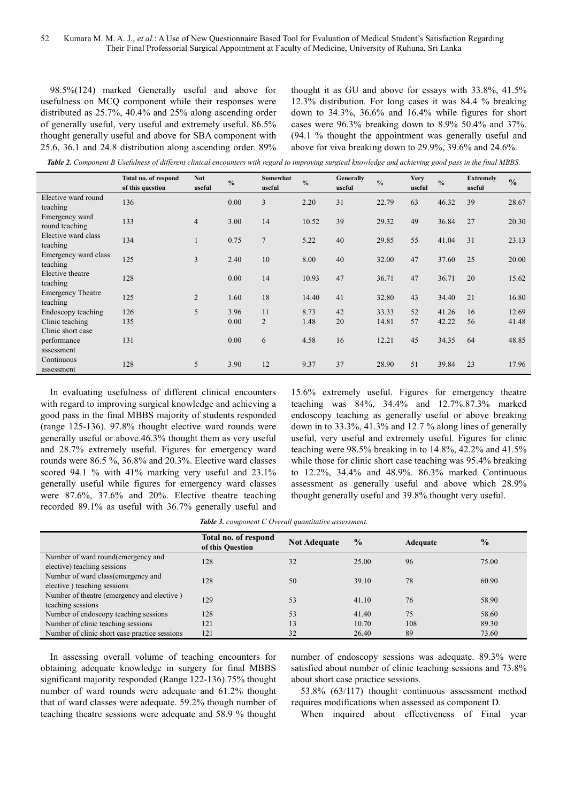98.5%(124) marked Generally useful and above for usefulness on MCQ component while their responses were distributed as 25.7%, 40.4% and 25% along ascending order of generally useful, very useful and extremely useful. 86.5% thought generally useful and above for SBA component with 25.6, 36.1 and 24.8 distribution along ascending order. 89%

thought it as GU and above for essays with 33.8%, 41.5% 12.3% distribution. For long cases it was 84.4 % breaking down to 34.3%, 36.6% and 16.4% while figures for short cases were 96.3% breaking down to 8.9% 50.4% and 37%. (94.1 % thought the appointment was generally useful and above for viva breaking down to 29.9%, 39.6% and 24.6%.

*Table 2. Component B Usefulness of different clinical encounters with regard to improving surgical knowledge and achieving good pass in the final MBBS.* 

|                                      | Total no. of respond<br>of this question | <b>Not</b><br>useful | $\frac{0}{0}$ | Somewhat<br>useful | $\frac{0}{0}$ | Generally<br>useful | $\frac{0}{0}$ | <b>Very</b><br>useful | $\frac{0}{0}$ | <b>Extremely</b><br>useful | $\frac{0}{0}$ |
|--------------------------------------|------------------------------------------|----------------------|---------------|--------------------|---------------|---------------------|---------------|-----------------------|---------------|----------------------------|---------------|
| Elective ward round<br>teaching      | 136                                      |                      | 0.00          | 3                  | 2.20          | 31                  | 22.79         | 63                    | 46.32         | 39                         | 28.67         |
| Emergency ward<br>round teaching     | 133                                      | $\overline{4}$       | 3.00          | 14                 | 10.52         | 39                  | 29.32         | 49                    | 36.84         | 27                         | 20.30         |
| Elective ward class<br>teaching      | 134                                      |                      | 0.75          | $\overline{7}$     | 5.22          | 40                  | 29.85         | 55                    | 41.04         | 31                         | 23.13         |
| Emergency ward class<br>teaching     | 125                                      | 3                    | 2.40          | 10                 | 8.00          | 40                  | 32.00         | 47                    | 37.60         | 25                         | 20.00         |
| Elective theatre<br>teaching         | 128                                      |                      | 0.00          | 14                 | 10.93         | 47                  | 36.71         | 47                    | 36.71         | 20                         | 15.62         |
| <b>Emergency Theatre</b><br>teaching | 125                                      | $\overline{2}$       | 1.60          | 18                 | 14.40         | 41                  | 32.80         | 43                    | 34.40         | 21                         | 16.80         |
| Endoscopy teaching                   | 126                                      | 5                    | 3.96          | 11                 | 8.73          | 42                  | 33.33         | 52                    | 41.26         | 16                         | 12.69         |
| Clinic teaching                      | 135                                      |                      | 0.00          | $\overline{2}$     | 1.48          | 20                  | 14.81         | 57                    | 42.22         | 56                         | 41.48         |
| Clinic short case                    |                                          |                      |               |                    |               |                     |               |                       |               |                            |               |
| performance<br>assessment            | 131                                      |                      | 0.00          | 6                  | 4.58          | 16                  | 12.21         | 45                    | 34.35         | 64                         | 48.85         |
| Continuous                           |                                          |                      |               |                    |               |                     |               |                       |               |                            |               |
| assessment                           | 128                                      | 5                    | 3.90          | 12                 | 9.37          | 37                  | 28.90         | 51                    | 39.84         | 23                         | 17.96         |

In evaluating usefulness of different clinical encounters with regard to improving surgical knowledge and achieving a good pass in the final MBBS majority of students responded (range 125-136). 97.8% thought elective ward rounds were generally useful or above.46.3% thought them as very useful and 28.7% extremely useful. Figures for emergency ward rounds were 86.5 %, 36.8% and 20.3%. Elective ward classes scored 94.1 % with 41% marking very useful and 23.1% generally useful while figures for emergency ward classes were 87.6%, 37.6% and 20%. Elective theatre teaching recorded 89.1% as useful with 36.7% generally useful and 15.6% extremely useful. Figures for emergency theatre teaching was 84%, 34.4% and 12.7%.87.3% marked endoscopy teaching as generally useful or above breaking down in to 33.3%, 41.3% and 12.7 % along lines of generally useful, very useful and extremely useful. Figures for clinic teaching were 98.5% breaking in to 14.8%, 42.2% and 41.5% while those for clinic short case teaching was 95.4% breaking to 12.2%, 34.4% and 48.9%. 86.3% marked Continuous assessment as generally useful and above which 28.9% thought generally useful and 39.8% thought very useful.

|                                                                    | Total no. of respond<br>of this Question | <b>Not Adequate</b> | $\frac{0}{0}$ | Adequate | $\frac{0}{0}$ |
|--------------------------------------------------------------------|------------------------------------------|---------------------|---------------|----------|---------------|
| Number of ward round (emergency and<br>elective) teaching sessions | 128                                      | 32                  | 25.00         | 96       | 75.00         |
| Number of ward class (emergency and<br>elective) teaching sessions | 128                                      | 50                  | 39.10         | 78       | 60.90         |
| Number of theatre (emergency and elective)<br>teaching sessions    | 129                                      | 53                  | 41.10         | 76       | 58.90         |
| Number of endoscopy teaching sessions                              | 128                                      | 53                  | 41.40         | 75       | 58.60         |
| Number of clinic teaching sessions                                 | 121                                      | 13                  | 10.70         | 108      | 89.30         |
| Number of clinic short case practice sessions                      | 121                                      | 32                  | 26.40         | 89       | 73.60         |

In assessing overall volume of teaching encounters for obtaining adequate knowledge in surgery for final MBBS significant majority responded (Range 122-136).75% thought number of ward rounds were adequate and 61.2% thought that of ward classes were adequate. 59.2% though number of teaching theatre sessions were adequate and 58.9 % thought

number of endoscopy sessions was adequate. 89.3% were satisfied about number of clinic teaching sessions and 73.8% about short case practice sessions.

53.8% (63/117) thought continuous assessment method requires modifications when assessed as component D.

When inquired about effectiveness of Final year